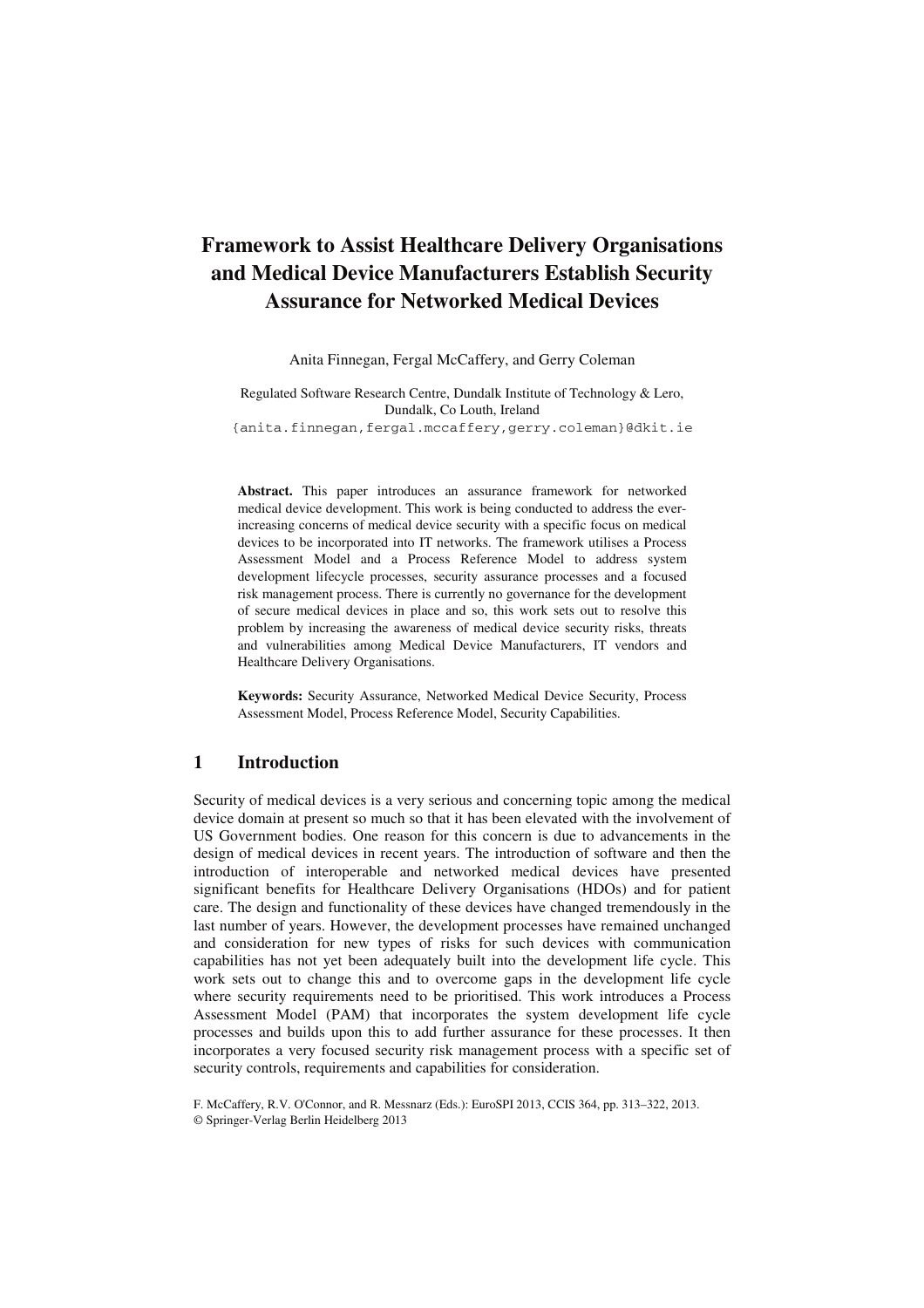# **Framework to Assist Healthcare Delivery Organisations and Medical Device Manufacturers Establish Security Assurance for Networked Medical Devices**

Anita Finnegan, Fergal McCaffery, and Gerry Coleman

Regulated Software Research Centre, Dundalk Institute of Technology & Lero, Dundalk, Co Louth, Ireland

{anita.finnegan,fergal.mccaffery,gerry.coleman}@dkit.ie

**Abstract.** This paper introduces an assurance framework for networked medical device development. This work is being conducted to address the everincreasing concerns of medical device security with a specific focus on medical devices to be incorporated into IT networks. The framework utilises a Process Assessment Model and a Process Reference Model to address system development lifecycle processes, security assurance processes and a focused risk management process. There is currently no governance for the development of secure medical devices in place and so, this work sets out to resolve this problem by increasing the awareness of medical device security risks, threats and vulnerabilities among Medical Device Manufacturers, IT vendors and Healthcare Delivery Organisations.

**Keywords:** Security Assurance, Networked Medical Device Security, Process Assessment Model, Process Reference Model, Security Capabilities.

# **1 Introduction**

Security of medical devices is a very serious and concerning topic among the medical device domain at present so much so that it has been elevated with the involvement of US Government bodies. One reason for this concern is due to advancements in the design of medical devices in recent years. The introduction of software and then the introduction of interoperable and networked medical devices have presented significant benefits for Healthcare Delivery Organisations (HDOs) and for patient care. The design and functionality of these devices have changed tremendously in the last number of years. However, the development processes have remained unchanged and consideration for new types of risks for such devices with communication capabilities has not yet been adequately built into the development life cycle. This work sets out to change this and to overcome gaps in the development life cycle where security requirements need to be prioritised. This work introduces a Process Assessment Model (PAM) that incorporates the system development life cycle processes and builds upon this to add further assurance for these processes. It then incorporates a very focused security risk management process with a specific set of security controls, requirements and capabilities for consideration.

F. McCaffery, R.V. O'Connor, and R. Messnarz (Eds.): EuroSPI 2013, CCIS 364, pp. 313–322, 2013. © Springer-Verlag Berlin Heidelberg 2013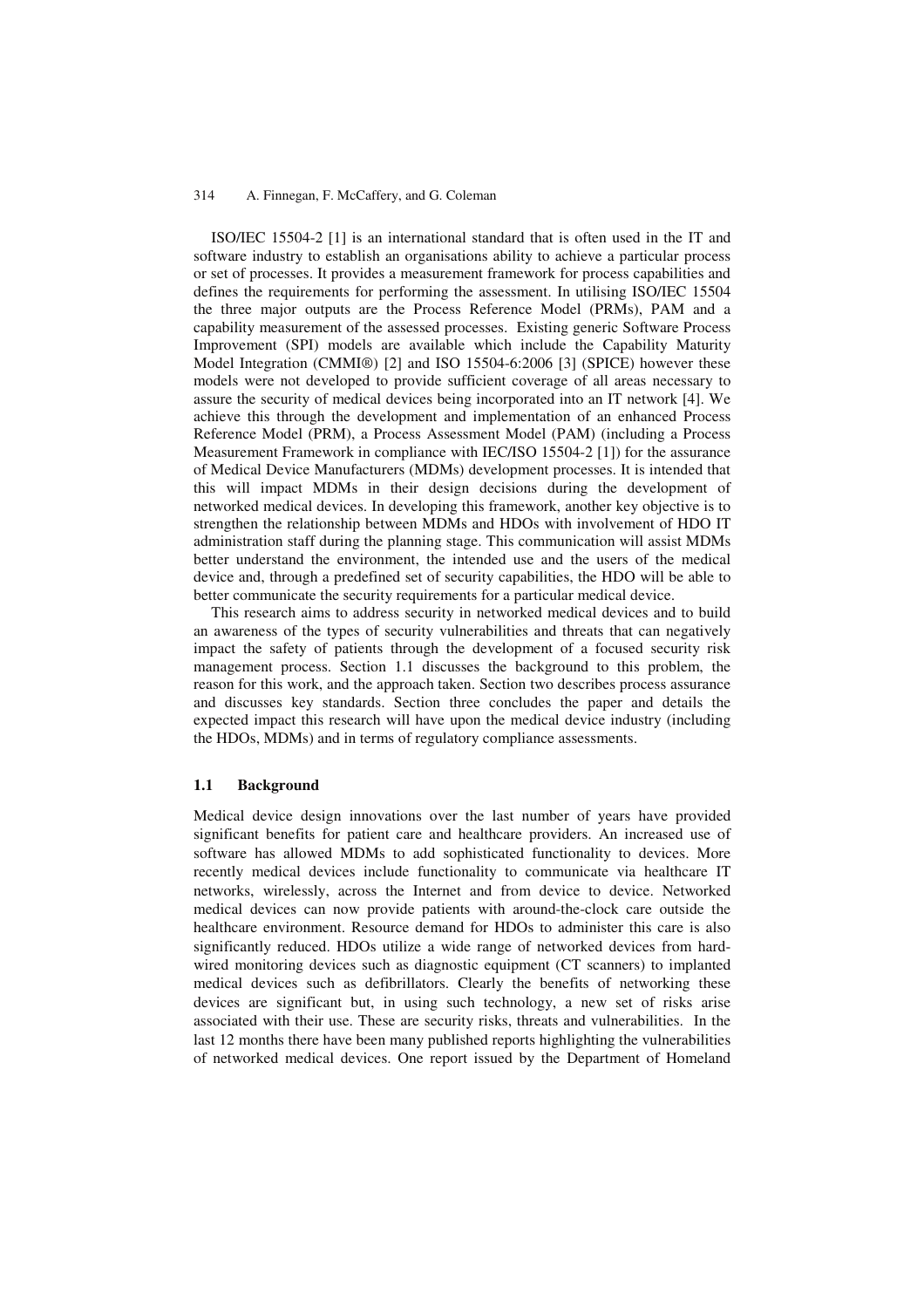ISO/IEC 15504-2 [1] is an international standard that is often used in the IT and software industry to establish an organisations ability to achieve a particular process or set of processes. It provides a measurement framework for process capabilities and defines the requirements for performing the assessment. In utilising ISO/IEC 15504 the three major outputs are the Process Reference Model (PRMs), PAM and a capability measurement of the assessed processes. Existing generic Software Process Improvement (SPI) models are available which include the Capability Maturity Model Integration (CMMI®) [2] and ISO 15504-6:2006 [3] (SPICE) however these models were not developed to provide sufficient coverage of all areas necessary to assure the security of medical devices being incorporated into an IT network [4]. We achieve this through the development and implementation of an enhanced Process Reference Model (PRM), a Process Assessment Model (PAM) (including a Process Measurement Framework in compliance with IEC/ISO 15504-2 [1]) for the assurance of Medical Device Manufacturers (MDMs) development processes. It is intended that this will impact MDMs in their design decisions during the development of networked medical devices. In developing this framework, another key objective is to strengthen the relationship between MDMs and HDOs with involvement of HDO IT administration staff during the planning stage. This communication will assist MDMs better understand the environment, the intended use and the users of the medical device and, through a predefined set of security capabilities, the HDO will be able to better communicate the security requirements for a particular medical device.

This research aims to address security in networked medical devices and to build an awareness of the types of security vulnerabilities and threats that can negatively impact the safety of patients through the development of a focused security risk management process. Section 1.1 discusses the background to this problem, the reason for this work, and the approach taken. Section two describes process assurance and discusses key standards. Section three concludes the paper and details the expected impact this research will have upon the medical device industry (including the HDOs, MDMs) and in terms of regulatory compliance assessments.

#### **1.1 Background**

Medical device design innovations over the last number of years have provided significant benefits for patient care and healthcare providers. An increased use of software has allowed MDMs to add sophisticated functionality to devices. More recently medical devices include functionality to communicate via healthcare IT networks, wirelessly, across the Internet and from device to device. Networked medical devices can now provide patients with around-the-clock care outside the healthcare environment. Resource demand for HDOs to administer this care is also significantly reduced. HDOs utilize a wide range of networked devices from hardwired monitoring devices such as diagnostic equipment (CT scanners) to implanted medical devices such as defibrillators. Clearly the benefits of networking these devices are significant but, in using such technology, a new set of risks arise associated with their use. These are security risks, threats and vulnerabilities. In the last 12 months there have been many published reports highlighting the vulnerabilities of networked medical devices. One report issued by the Department of Homeland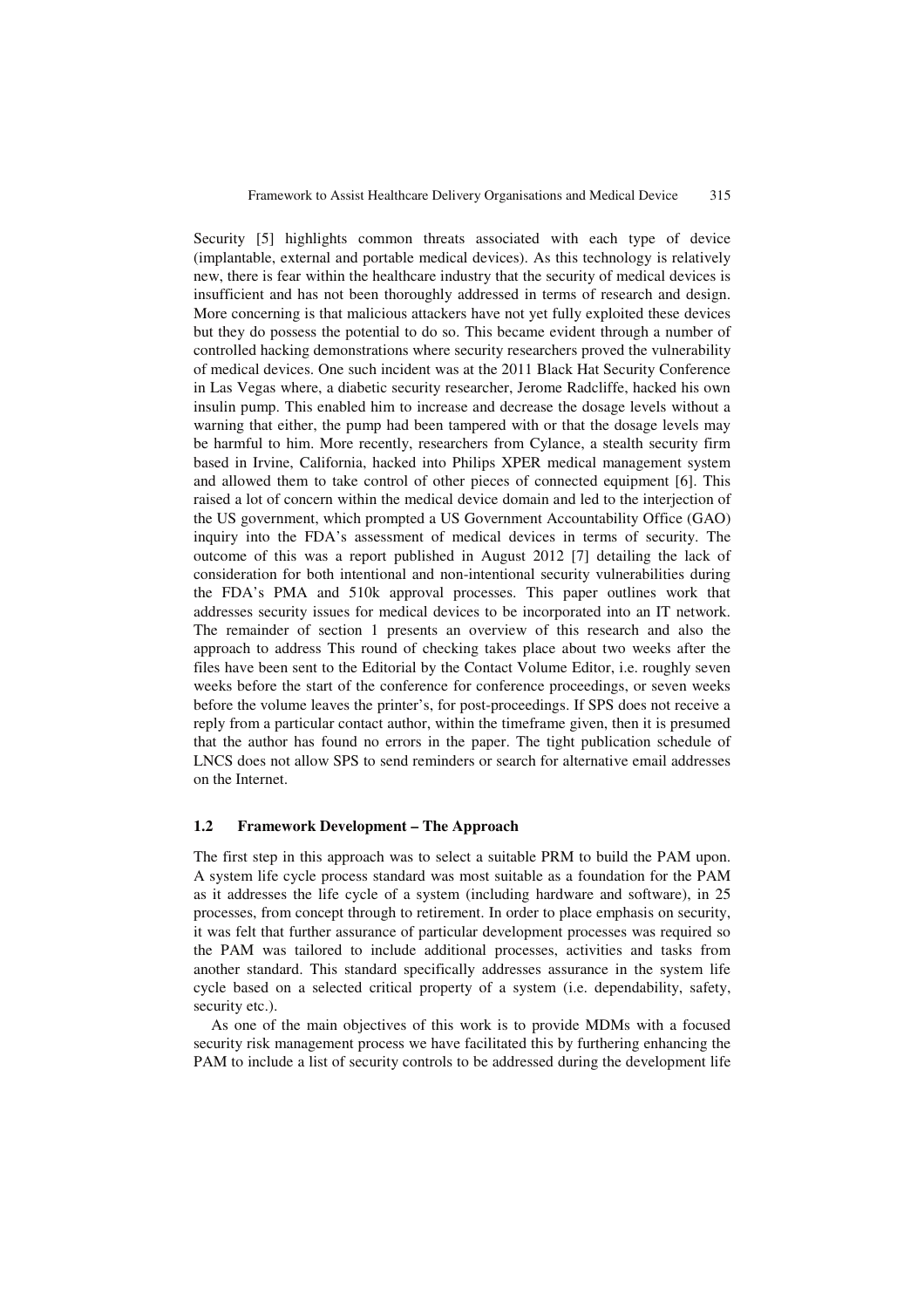Security [5] highlights common threats associated with each type of device (implantable, external and portable medical devices). As this technology is relatively new, there is fear within the healthcare industry that the security of medical devices is insufficient and has not been thoroughly addressed in terms of research and design. More concerning is that malicious attackers have not yet fully exploited these devices but they do possess the potential to do so. This became evident through a number of controlled hacking demonstrations where security researchers proved the vulnerability of medical devices. One such incident was at the 2011 Black Hat Security Conference in Las Vegas where, a diabetic security researcher, Jerome Radcliffe, hacked his own insulin pump. This enabled him to increase and decrease the dosage levels without a warning that either, the pump had been tampered with or that the dosage levels may be harmful to him. More recently, researchers from Cylance, a stealth security firm based in Irvine, California, hacked into Philips XPER medical management system and allowed them to take control of other pieces of connected equipment [6]. This raised a lot of concern within the medical device domain and led to the interjection of the US government, which prompted a US Government Accountability Office (GAO) inquiry into the FDA's assessment of medical devices in terms of security. The outcome of this was a report published in August 2012 [7] detailing the lack of consideration for both intentional and non-intentional security vulnerabilities during the FDA's PMA and 510k approval processes. This paper outlines work that addresses security issues for medical devices to be incorporated into an IT network. The remainder of section 1 presents an overview of this research and also the approach to address This round of checking takes place about two weeks after the files have been sent to the Editorial by the Contact Volume Editor, i.e. roughly seven weeks before the start of the conference for conference proceedings, or seven weeks before the volume leaves the printer's, for post-proceedings. If SPS does not receive a reply from a particular contact author, within the timeframe given, then it is presumed that the author has found no errors in the paper. The tight publication schedule of LNCS does not allow SPS to send reminders or search for alternative email addresses on the Internet.

## **1.2 Framework Development – The Approach**

The first step in this approach was to select a suitable PRM to build the PAM upon. A system life cycle process standard was most suitable as a foundation for the PAM as it addresses the life cycle of a system (including hardware and software), in 25 processes, from concept through to retirement. In order to place emphasis on security, it was felt that further assurance of particular development processes was required so the PAM was tailored to include additional processes, activities and tasks from another standard. This standard specifically addresses assurance in the system life cycle based on a selected critical property of a system (i.e. dependability, safety, security etc.).

As one of the main objectives of this work is to provide MDMs with a focused security risk management process we have facilitated this by furthering enhancing the PAM to include a list of security controls to be addressed during the development life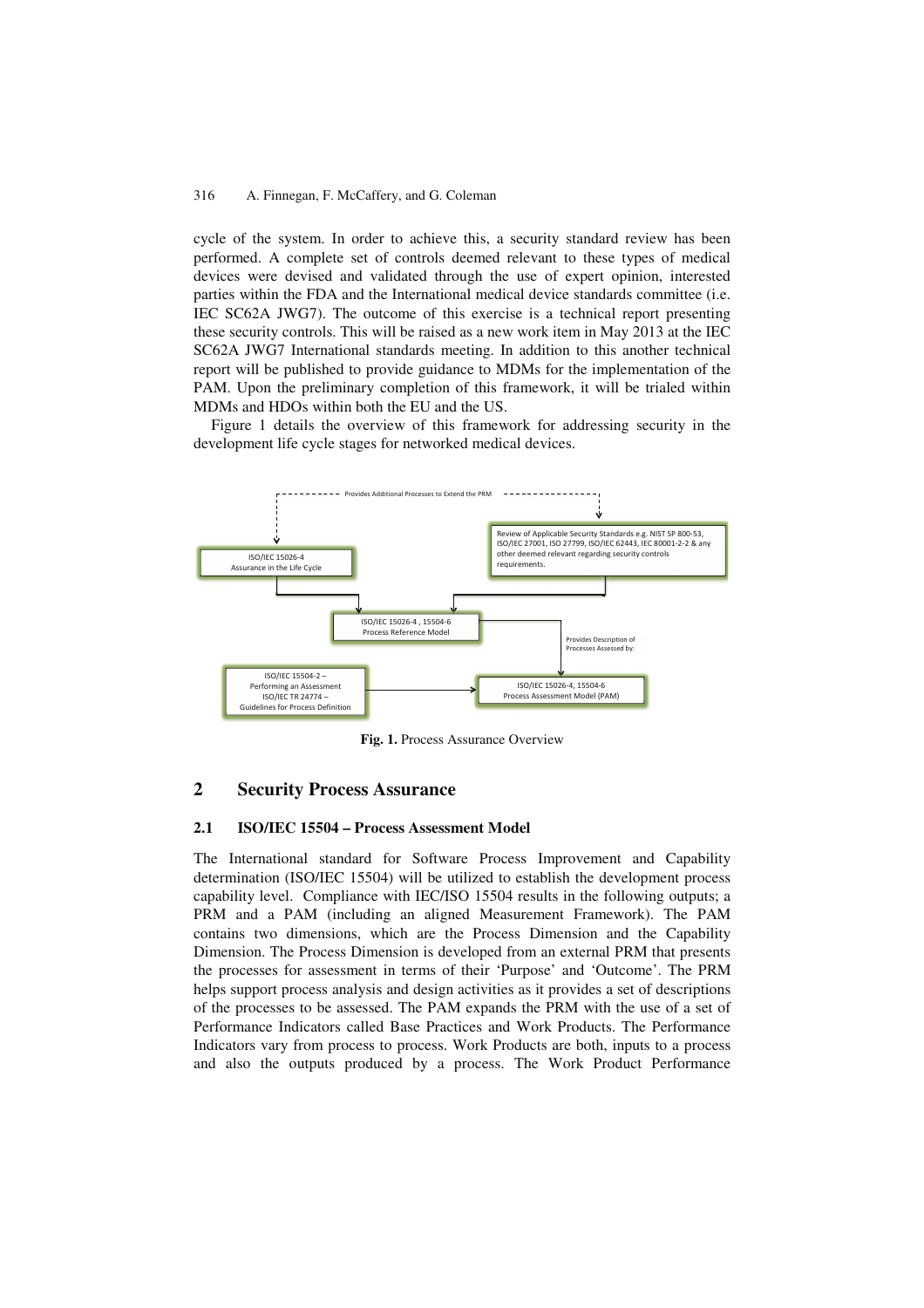cycle of the system. In order to achieve this, a security standard review has been performed. A complete set of controls deemed relevant to these types of medical devices were devised and validated through the use of expert opinion, interested parties within the FDA and the International medical device standards committee (i.e. IEC SC62A JWG7). The outcome of this exercise is a technical report presenting these security controls. This will be raised as a new work item in May 2013 at the IEC SC62A JWG7 International standards meeting. In addition to this another technical report will be published to provide guidance to MDMs for the implementation of the PAM. Upon the preliminary completion of this framework, it will be trialed within MDMs and HDOs within both the EU and the US.

Figure 1 details the overview of this framework for addressing security in the development life cycle stages for networked medical devices.



**Fig. 1.** Process Assurance Overview

## **2 Security Process Assurance**

#### **2.1 ISO/IEC 15504 – Process Assessment Model**

The International standard for Software Process Improvement and Capability determination (ISO/IEC 15504) will be utilized to establish the development process capability level. Compliance with IEC/ISO 15504 results in the following outputs; a PRM and a PAM (including an aligned Measurement Framework). The PAM contains two dimensions, which are the Process Dimension and the Capability Dimension. The Process Dimension is developed from an external PRM that presents the processes for assessment in terms of their 'Purpose' and 'Outcome'. The PRM helps support process analysis and design activities as it provides a set of descriptions of the processes to be assessed. The PAM expands the PRM with the use of a set of Performance Indicators called Base Practices and Work Products. The Performance Indicators vary from process to process. Work Products are both, inputs to a process and also the outputs produced by a process. The Work Product Performance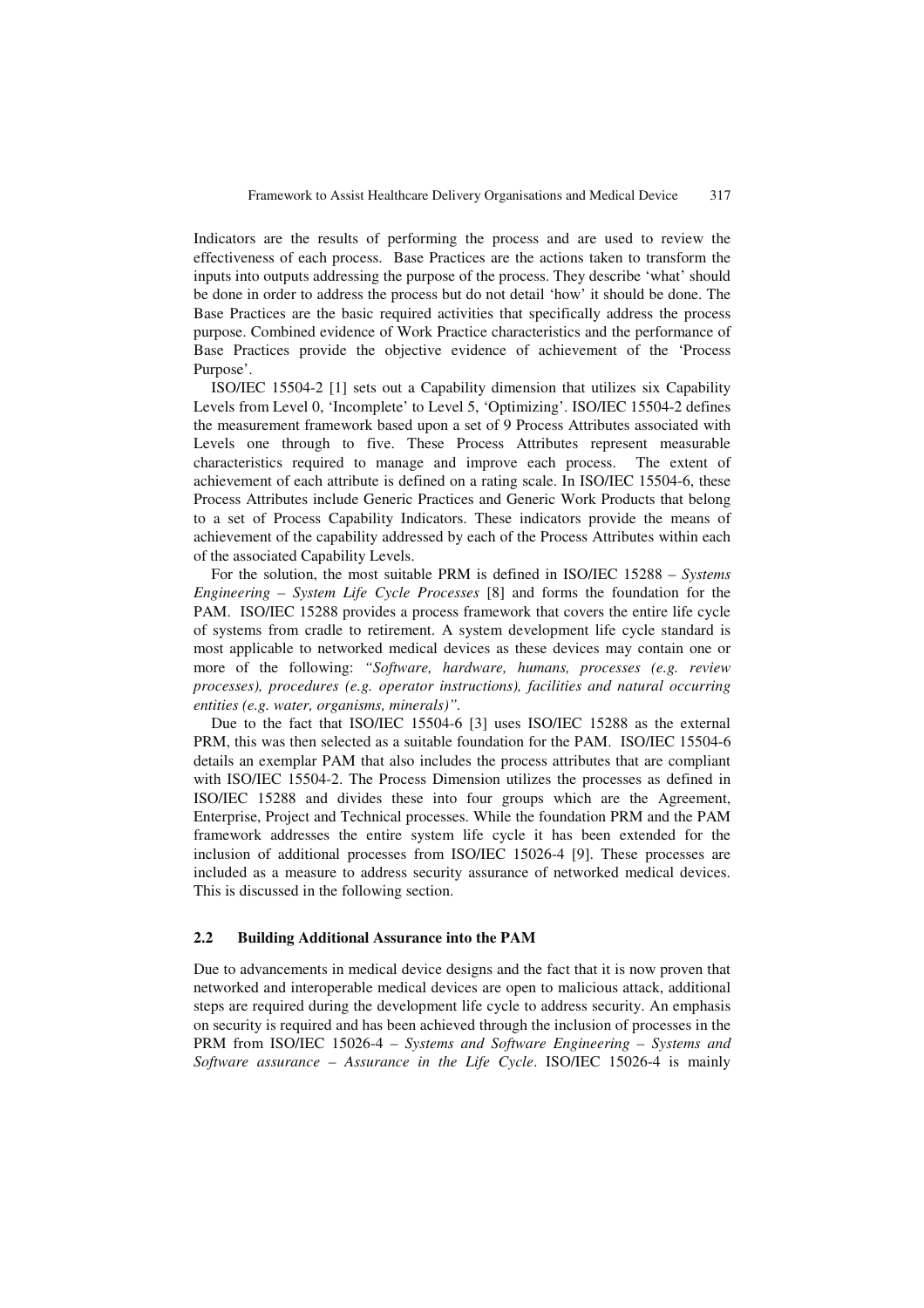Indicators are the results of performing the process and are used to review the effectiveness of each process. Base Practices are the actions taken to transform the inputs into outputs addressing the purpose of the process. They describe 'what' should be done in order to address the process but do not detail 'how' it should be done. The Base Practices are the basic required activities that specifically address the process purpose. Combined evidence of Work Practice characteristics and the performance of Base Practices provide the objective evidence of achievement of the 'Process Purpose'.

ISO/IEC 15504-2 [1] sets out a Capability dimension that utilizes six Capability Levels from Level 0, 'Incomplete' to Level 5, 'Optimizing'. ISO/IEC 15504-2 defines the measurement framework based upon a set of 9 Process Attributes associated with Levels one through to five. These Process Attributes represent measurable characteristics required to manage and improve each process. The extent of achievement of each attribute is defined on a rating scale. In ISO/IEC 15504-6, these Process Attributes include Generic Practices and Generic Work Products that belong to a set of Process Capability Indicators. These indicators provide the means of achievement of the capability addressed by each of the Process Attributes within each of the associated Capability Levels.

For the solution, the most suitable PRM is defined in ISO/IEC 15288 – *Systems Engineering – System Life Cycle Processes* [8] and forms the foundation for the PAM. ISO/IEC 15288 provides a process framework that covers the entire life cycle of systems from cradle to retirement. A system development life cycle standard is most applicable to networked medical devices as these devices may contain one or more of the following: *"Software, hardware, humans, processes (e.g. review processes), procedures (e.g. operator instructions), facilities and natural occurring entities (e.g. water, organisms, minerals)".*

Due to the fact that ISO/IEC 15504-6 [3] uses ISO/IEC 15288 as the external PRM, this was then selected as a suitable foundation for the PAM. ISO/IEC 15504-6 details an exemplar PAM that also includes the process attributes that are compliant with ISO/IEC 15504-2. The Process Dimension utilizes the processes as defined in ISO/IEC 15288 and divides these into four groups which are the Agreement, Enterprise, Project and Technical processes. While the foundation PRM and the PAM framework addresses the entire system life cycle it has been extended for the inclusion of additional processes from ISO/IEC 15026-4 [9]. These processes are included as a measure to address security assurance of networked medical devices. This is discussed in the following section.

#### **2.2 Building Additional Assurance into the PAM**

Due to advancements in medical device designs and the fact that it is now proven that networked and interoperable medical devices are open to malicious attack, additional steps are required during the development life cycle to address security. An emphasis on security is required and has been achieved through the inclusion of processes in the PRM from ISO/IEC 15026-4 – *Systems and Software Engineering – Systems and Software assurance – Assurance in the Life Cycle*. ISO/IEC 15026-4 is mainly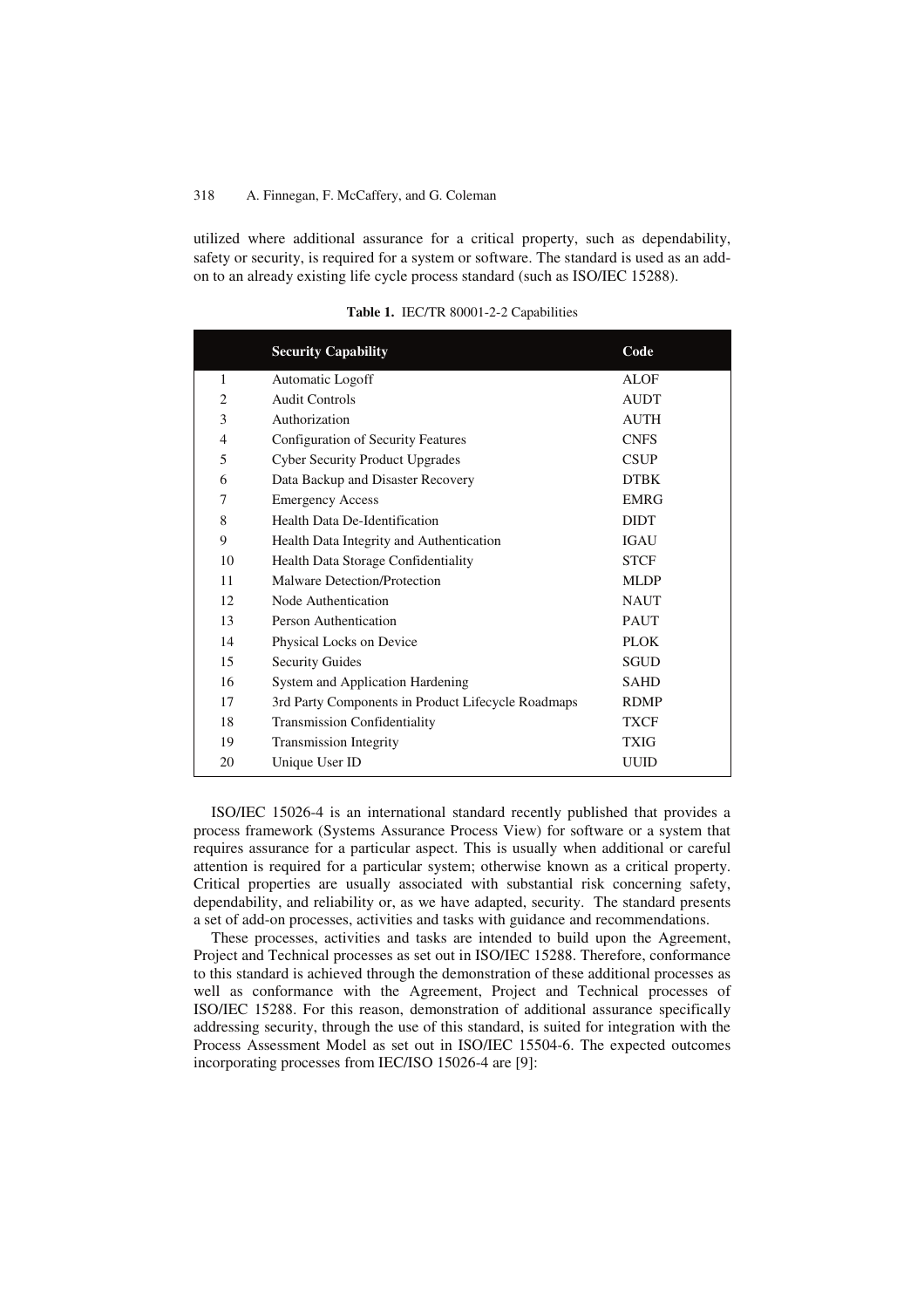utilized where additional assurance for a critical property, such as dependability, safety or security, is required for a system or software. The standard is used as an addon to an already existing life cycle process standard (such as ISO/IEC 15288).

|                | <b>Security Capability</b>                         | Code        |
|----------------|----------------------------------------------------|-------------|
| 1              | Automatic Logoff                                   | <b>ALOF</b> |
| $\overline{c}$ | <b>Audit Controls</b>                              | <b>AUDT</b> |
| 3              | Authorization                                      | <b>AUTH</b> |
| $\overline{4}$ | Configuration of Security Features                 | <b>CNFS</b> |
| 5              | <b>Cyber Security Product Upgrades</b>             | <b>CSUP</b> |
| 6              | Data Backup and Disaster Recovery                  | <b>DTBK</b> |
| 7              | <b>Emergency Access</b>                            | <b>EMRG</b> |
| 8              | Health Data De-Identification                      | <b>DIDT</b> |
| 9              | Health Data Integrity and Authentication           | <b>IGAU</b> |
| 10             | Health Data Storage Confidentiality                | <b>STCF</b> |
| 11             | Malware Detection/Protection                       | <b>MLDP</b> |
| 12             | Node Authentication                                | <b>NAUT</b> |
| 13             | Person Authentication                              | <b>PAUT</b> |
| 14             | Physical Locks on Device                           | <b>PLOK</b> |
| 15             | <b>Security Guides</b>                             | SGUD        |
| 16             | System and Application Hardening                   | <b>SAHD</b> |
| 17             | 3rd Party Components in Product Lifecycle Roadmaps | <b>RDMP</b> |
| 18             | Transmission Confidentiality                       | <b>TXCF</b> |
| 19             | <b>Transmission Integrity</b>                      | <b>TXIG</b> |
| 20             | Unique User ID                                     | UUID        |

**Table 1.** IEC/TR 80001-2-2 Capabilities

ISO/IEC 15026-4 is an international standard recently published that provides a process framework (Systems Assurance Process View) for software or a system that requires assurance for a particular aspect. This is usually when additional or careful attention is required for a particular system; otherwise known as a critical property. Critical properties are usually associated with substantial risk concerning safety, dependability, and reliability or, as we have adapted, security. The standard presents a set of add-on processes, activities and tasks with guidance and recommendations.

These processes, activities and tasks are intended to build upon the Agreement, Project and Technical processes as set out in ISO/IEC 15288. Therefore, conformance to this standard is achieved through the demonstration of these additional processes as well as conformance with the Agreement, Project and Technical processes of ISO/IEC 15288. For this reason, demonstration of additional assurance specifically addressing security, through the use of this standard, is suited for integration with the Process Assessment Model as set out in ISO/IEC 15504-6. The expected outcomes incorporating processes from IEC/ISO 15026-4 are [9]: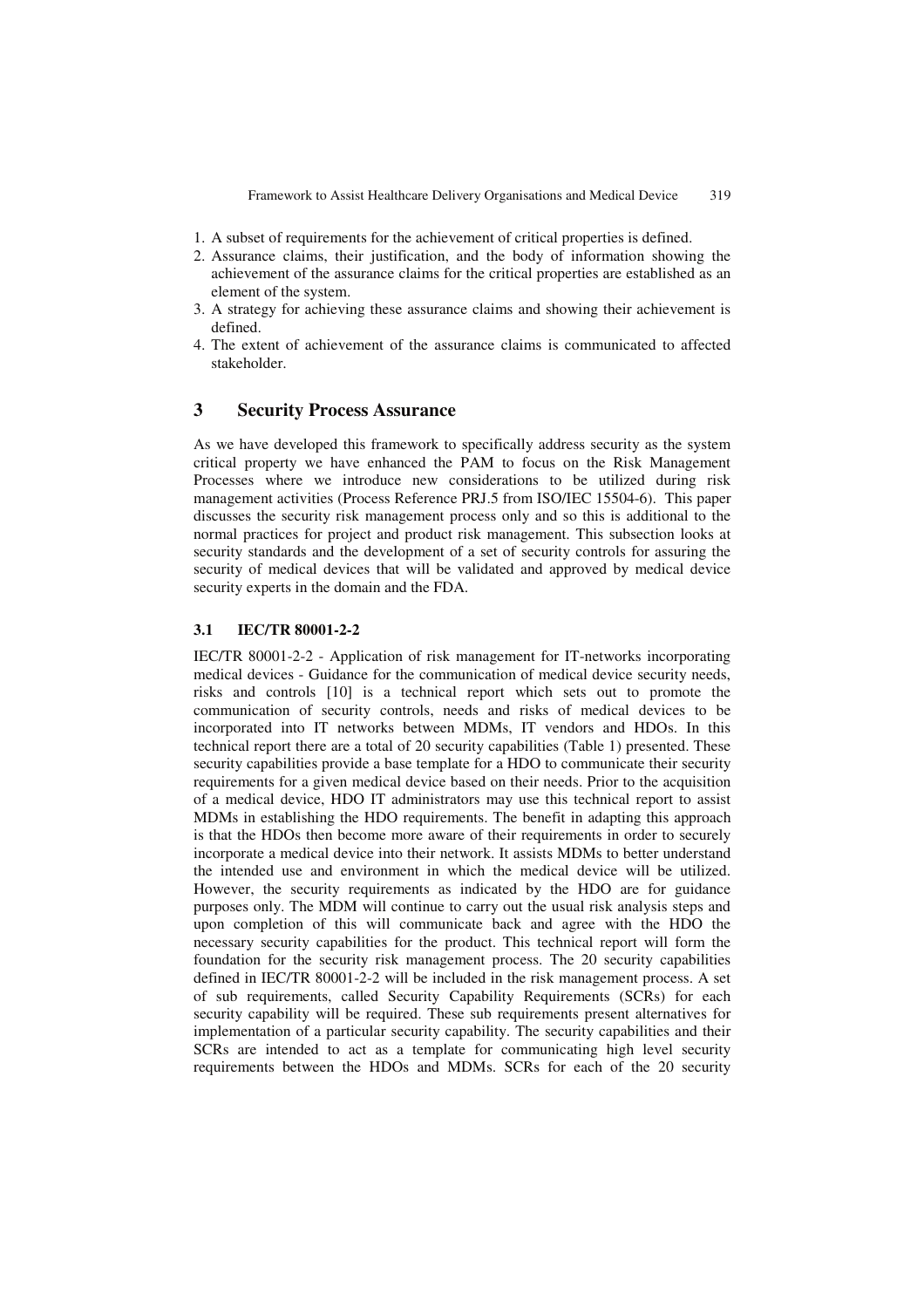- 1. A subset of requirements for the achievement of critical properties is defined.
- 2. Assurance claims, their justification, and the body of information showing the achievement of the assurance claims for the critical properties are established as an element of the system.
- 3. A strategy for achieving these assurance claims and showing their achievement is defined.
- 4. The extent of achievement of the assurance claims is communicated to affected stakeholder.

## **3 Security Process Assurance**

As we have developed this framework to specifically address security as the system critical property we have enhanced the PAM to focus on the Risk Management Processes where we introduce new considerations to be utilized during risk management activities (Process Reference PRJ.5 from ISO/IEC 15504-6). This paper discusses the security risk management process only and so this is additional to the normal practices for project and product risk management. This subsection looks at security standards and the development of a set of security controls for assuring the security of medical devices that will be validated and approved by medical device security experts in the domain and the FDA.

### **3.1 IEC/TR 80001-2-2**

IEC/TR 80001-2-2 - Application of risk management for IT-networks incorporating medical devices - Guidance for the communication of medical device security needs, risks and controls [10] is a technical report which sets out to promote the communication of security controls, needs and risks of medical devices to be incorporated into IT networks between MDMs, IT vendors and HDOs. In this technical report there are a total of 20 security capabilities (Table 1) presented. These security capabilities provide a base template for a HDO to communicate their security requirements for a given medical device based on their needs. Prior to the acquisition of a medical device, HDO IT administrators may use this technical report to assist MDMs in establishing the HDO requirements. The benefit in adapting this approach is that the HDOs then become more aware of their requirements in order to securely incorporate a medical device into their network. It assists MDMs to better understand the intended use and environment in which the medical device will be utilized. However, the security requirements as indicated by the HDO are for guidance purposes only. The MDM will continue to carry out the usual risk analysis steps and upon completion of this will communicate back and agree with the HDO the necessary security capabilities for the product. This technical report will form the foundation for the security risk management process. The 20 security capabilities defined in IEC/TR 80001-2-2 will be included in the risk management process. A set of sub requirements, called Security Capability Requirements (SCRs) for each security capability will be required. These sub requirements present alternatives for implementation of a particular security capability. The security capabilities and their SCRs are intended to act as a template for communicating high level security requirements between the HDOs and MDMs. SCRs for each of the 20 security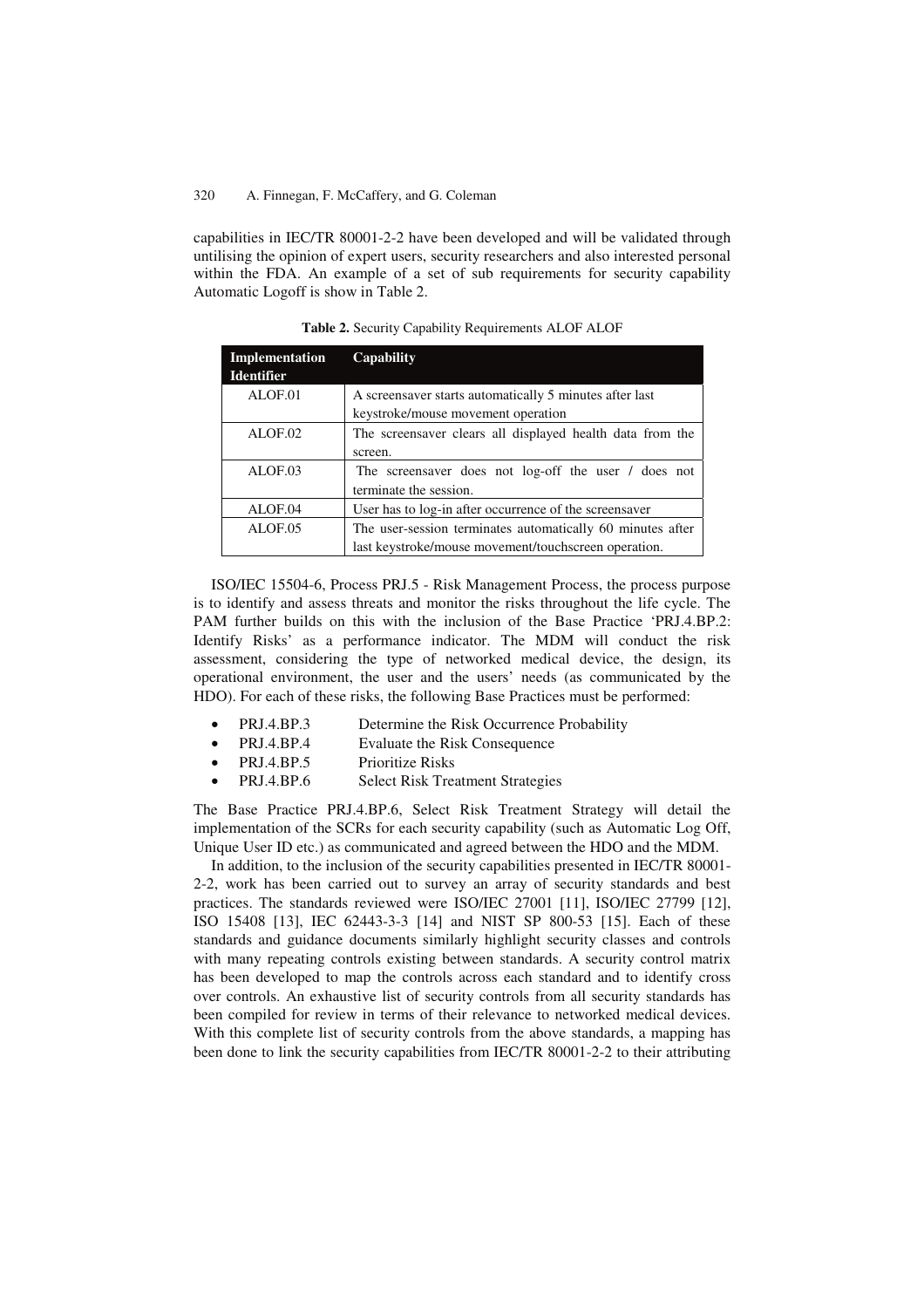capabilities in IEC/TR 80001-2-2 have been developed and will be validated through untilising the opinion of expert users, security researchers and also interested personal within the FDA. An example of a set of sub requirements for security capability Automatic Logoff is show in Table 2.

| Implementation    | <b>Capability</b>                                          |
|-------------------|------------------------------------------------------------|
| <b>Identifier</b> |                                                            |
| ALOF.01           | A screensaver starts automatically 5 minutes after last    |
|                   | keystroke/mouse movement operation                         |
| ALOF.02           | The screensaver clears all displayed health data from the  |
|                   | screen.                                                    |
| ALOF.03           | The screensaver does not log-off the user / does not       |
|                   | terminate the session.                                     |
| ALOF.04           | User has to log-in after occurrence of the screensaver     |
| ALOF.05           | The user-session terminates automatically 60 minutes after |
|                   | last keystroke/mouse movement/touchscreen operation.       |

**Table 2.** Security Capability Requirements ALOF ALOF

ISO/IEC 15504-6, Process PRJ.5 - Risk Management Process, the process purpose is to identify and assess threats and monitor the risks throughout the life cycle. The PAM further builds on this with the inclusion of the Base Practice 'PRJ.4.BP.2: Identify Risks' as a performance indicator. The MDM will conduct the risk assessment, considering the type of networked medical device, the design, its operational environment, the user and the users' needs (as communicated by the HDO). For each of these risks, the following Base Practices must be performed:

- PRJ.4.BP.3 Determine the Risk Occurrence Probability
- PRJ.4.BP.4 Evaluate the Risk Consequence
	- PRJ.4.BP.5 Prioritize Risks
- PRJ.4.BP.6 Select Risk Treatment Strategies

The Base Practice PRJ.4.BP.6, Select Risk Treatment Strategy will detail the implementation of the SCRs for each security capability (such as Automatic Log Off, Unique User ID etc.) as communicated and agreed between the HDO and the MDM.

In addition, to the inclusion of the security capabilities presented in IEC/TR 80001- 2-2, work has been carried out to survey an array of security standards and best practices. The standards reviewed were ISO/IEC 27001 [11], ISO/IEC 27799 [12], ISO 15408 [13], IEC 62443-3-3 [14] and NIST SP 800-53 [15]. Each of these standards and guidance documents similarly highlight security classes and controls with many repeating controls existing between standards. A security control matrix has been developed to map the controls across each standard and to identify cross over controls. An exhaustive list of security controls from all security standards has been compiled for review in terms of their relevance to networked medical devices. With this complete list of security controls from the above standards, a mapping has been done to link the security capabilities from IEC/TR 80001-2-2 to their attributing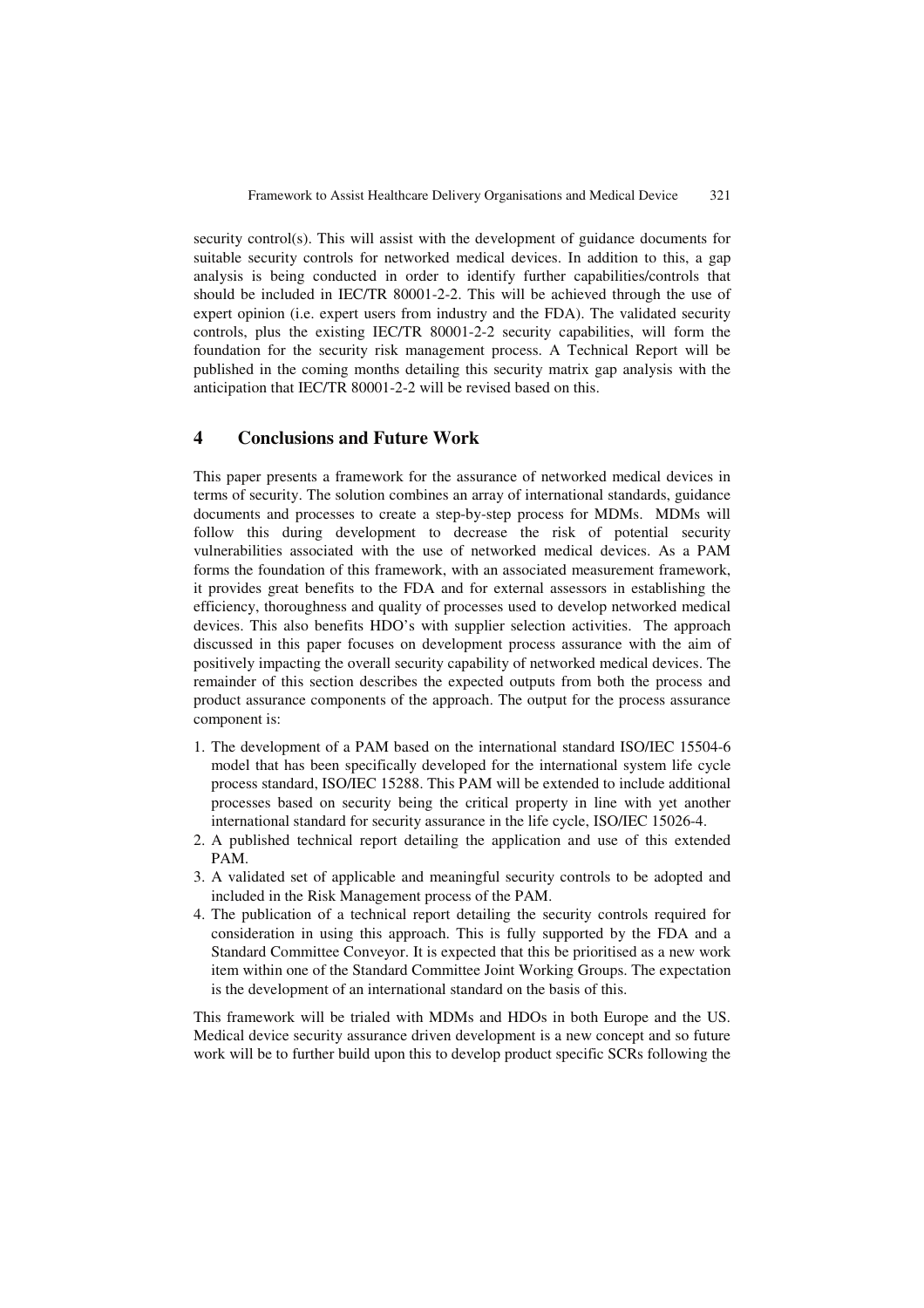security control(s). This will assist with the development of guidance documents for suitable security controls for networked medical devices. In addition to this, a gap analysis is being conducted in order to identify further capabilities/controls that should be included in IEC/TR 80001-2-2. This will be achieved through the use of expert opinion (i.e. expert users from industry and the FDA). The validated security controls, plus the existing IEC/TR 80001-2-2 security capabilities, will form the foundation for the security risk management process. A Technical Report will be published in the coming months detailing this security matrix gap analysis with the anticipation that IEC/TR 80001-2-2 will be revised based on this.

# **4 Conclusions and Future Work**

This paper presents a framework for the assurance of networked medical devices in terms of security. The solution combines an array of international standards, guidance documents and processes to create a step-by-step process for MDMs. MDMs will follow this during development to decrease the risk of potential security vulnerabilities associated with the use of networked medical devices. As a PAM forms the foundation of this framework, with an associated measurement framework, it provides great benefits to the FDA and for external assessors in establishing the efficiency, thoroughness and quality of processes used to develop networked medical devices. This also benefits HDO's with supplier selection activities. The approach discussed in this paper focuses on development process assurance with the aim of positively impacting the overall security capability of networked medical devices. The remainder of this section describes the expected outputs from both the process and product assurance components of the approach. The output for the process assurance component is:

- 1. The development of a PAM based on the international standard ISO/IEC 15504-6 model that has been specifically developed for the international system life cycle process standard, ISO/IEC 15288. This PAM will be extended to include additional processes based on security being the critical property in line with yet another international standard for security assurance in the life cycle, ISO/IEC 15026-4.
- 2. A published technical report detailing the application and use of this extended PAM.
- 3. A validated set of applicable and meaningful security controls to be adopted and included in the Risk Management process of the PAM.
- 4. The publication of a technical report detailing the security controls required for consideration in using this approach. This is fully supported by the FDA and a Standard Committee Conveyor. It is expected that this be prioritised as a new work item within one of the Standard Committee Joint Working Groups. The expectation is the development of an international standard on the basis of this.

This framework will be trialed with MDMs and HDOs in both Europe and the US. Medical device security assurance driven development is a new concept and so future work will be to further build upon this to develop product specific SCRs following the